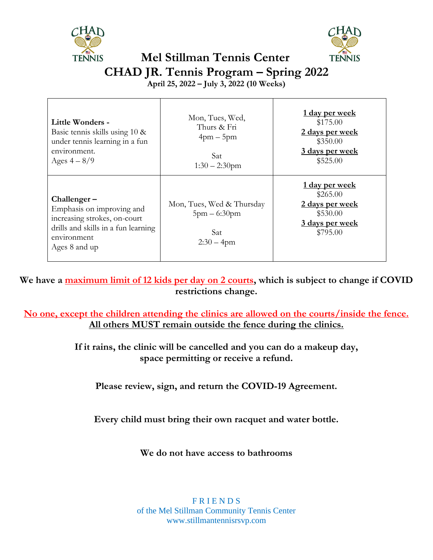



## **Mel Stillman Tennis Center CHAD JR. Tennis Program – Spring 2022**

**April 25, 2022 – July 3, 2022 (10 Weeks)**

| Little Wonders -<br>Basic tennis skills using 10 &<br>under tennis learning in a fun<br>environment.<br>Ages $4-8/9$                              | Mon, Tues, Wed,<br>Thurs & Fri<br>$4$ pm $-5$ pm<br>Sat<br>$1:30 - 2:30$ pm | 1 day per week<br>\$175.00<br>2 days per week<br>\$350.00<br>3 days per week<br>\$525.00 |
|---------------------------------------------------------------------------------------------------------------------------------------------------|-----------------------------------------------------------------------------|------------------------------------------------------------------------------------------|
| $Challenger-$<br>Emphasis on improving and<br>increasing strokes, on-court<br>drills and skills in a fun learning<br>environment<br>Ages 8 and up | Mon, Tues, Wed & Thursday<br>$5pm - 6:30pm$<br>Sat<br>$2:30 - 4$ pm         | 1 day per week<br>\$265.00<br>2 days per week<br>\$530.00<br>3 days per week<br>\$795.00 |

**We have a maximum limit of 12 kids per day on 2 courts, which is subject to change if COVID restrictions change.**

**No one, except the children attending the clinics are allowed on the courts/inside the fence. All others MUST remain outside the fence during the clinics.**

> **If it rains, the clinic will be cancelled and you can do a makeup day, space permitting or receive a refund.**

**Please review, sign, and return the COVID-19 Agreement.**

**Every child must bring their own racquet and water bottle.**

**We do not have access to bathrooms**